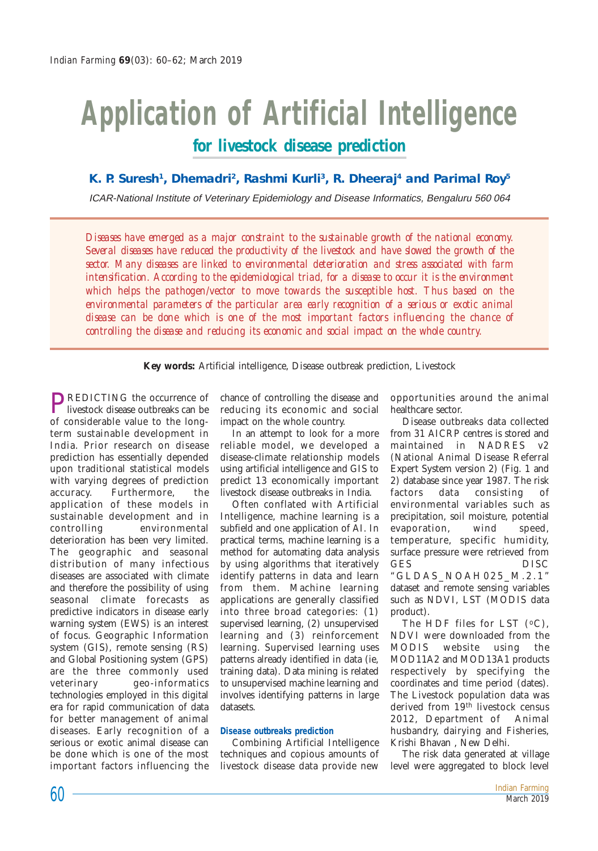## **Application of Artificial Intelligence for livestock disease prediction**

## K. P. Suresh<sup>1</sup>, Dhemadri<sup>2</sup>, Rashmi Kurli<sup>3</sup>, R. Dheeraj<sup>4</sup> and Parimal Roy<sup>5</sup>

ICAR-National Institute of Veterinary Epidemiology and Disease Informatics, Bengaluru 560 064

*Diseases have emerged as a major constraint to the sustainable growth of the national economy. Several diseases have reduced the productivity of the livestock and have slowed the growth of the sector. Many diseases are linked to environmental deterioration and stress associated with farm intensification. According to the epidemiological triad, for a disease to occur it is the environment which helps the pathogen/vector to move towards the susceptible host. Thus based on the environmental parameters of the particular area early recognition of a serious or exotic animal disease can be done which is one of the most important factors influencing the chance of controlling the disease and reducing its economic and social impact on the whole country.*

**Key words:** Artificial intelligence, Disease outbreak prediction, Livestock

**PREDICTING** the occurrence of livestock disease outbreaks can be of considerable value to the longterm sustainable development in India. Prior research on disease prediction has essentially depended upon traditional statistical models with varying degrees of prediction accuracy. Furthermore, the application of these models in sustainable development and in controlling environmental deterioration has been very limited. The geographic and seasonal distribution of many infectious diseases are associated with climate and therefore the possibility of using seasonal climate forecasts as predictive indicators in disease early warning system (EWS) is an interest of focus. Geographic Information system (GIS), remote sensing (RS) and Global Positioning system (GPS) are the three commonly used veterinary geo-informatics technologies employed in this digital era for rapid communication of data for better management of animal diseases. Early recognition of a serious or exotic animal disease can be done which is one of the most important factors influencing the

chance of controlling the disease and reducing its economic and social impact on the whole country.

In an attempt to look for a more reliable model, we developed a disease-climate relationship models using artificial intelligence and GIS to predict 13 economically important livestock disease outbreaks in India.

Often conflated with Artificial Intelligence, machine learning is a subfield and one application of AI. In practical terms, machine learning is a method for automating data analysis by using algorithms that iteratively identify patterns in data and learn from them. Machine learning applications are generally classified into three broad categories: (1) supervised learning, (2) unsupervised learning and (3) reinforcement learning. Supervised learning uses patterns already identified in data (ie, training data). Data mining is related to unsupervised machine learning and involves identifying patterns in large datasets.

## **Disease outbreaks prediction**

Combining Artificial Intelligence techniques and copious amounts of livestock disease data provide new

opportunities around the animal healthcare sector.

Disease outbreaks data collected from 31 AICRP centres is stored and maintained in NADRES v2 (National Animal Disease Referral Expert System version 2) (Fig. 1 and 2) database since year 1987. The risk factors data consisting of environmental variables such as precipitation, soil moisture, potential evaporation, wind speed, temperature, specific humidity, surface pressure were retrieved from GES DISC "GLDAS\_NOAH025\_M.2.1"

dataset and remote sensing variables such as NDVI, LST (MODIS data product).

The HDF files for LST  $(°C)$ , NDVI were downloaded from the MODIS website using the MOD11A2 and MOD13A1 products respectively by specifying the coordinates and time period (dates). The Livestock population data was derived from 19th livestock census 2012, Department of Animal husbandry, dairying and Fisheries, Krishi Bhavan , New Delhi.

The risk data generated at village level were aggregated to block level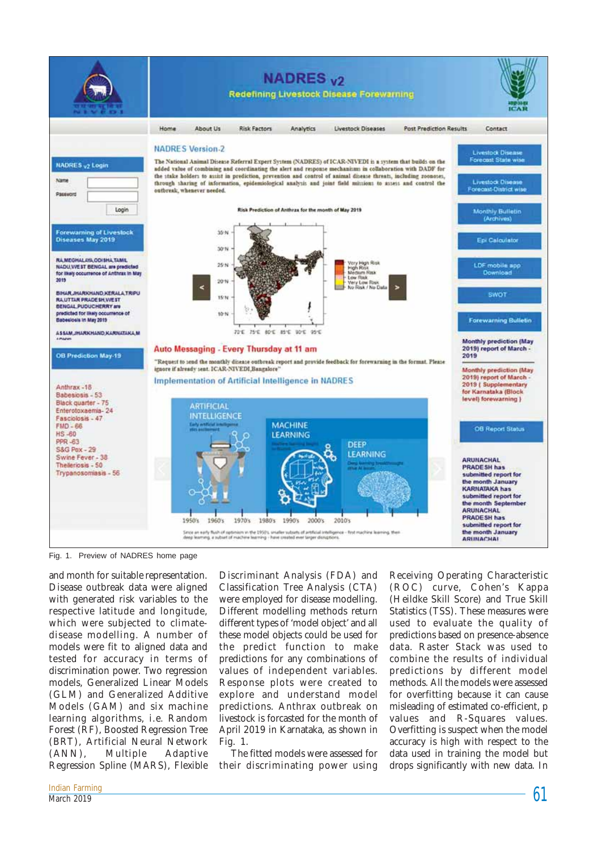

Fig. 1. Preview of NADRES home page

and month for suitable representation. Disease outbreak data were aligned with generated risk variables to the respective latitude and longitude, which were subjected to climatedisease modelling. A number of models were fit to aligned data and tested for accuracy in terms of discrimination power. Two regression models, Generalized Linear Models (GLM) and Generalized Additive Models (GAM) and six machine learning algorithms, i.e*.* Random Forest (RF), Boosted Regression Tree (BRT), Artificial Neural Network (ANN), Multiple Adaptive Regression Spline (MARS), Flexible Discriminant Analysis (FDA) and Classification Tree Analysis (CTA) were employed for disease modelling. Different modelling methods return different types of 'model object' and all these model objects could be used for the predict function to make predictions for any combinations of values of independent variables. Response plots were created to explore and understand model predictions. Anthrax outbreak on livestock is forcasted for the month of April 2019 in Karnataka, as shown in Fig. 1.

The fitted models were assessed for their discriminating power using

Receiving Operating Characteristic (ROC) curve, Cohen's Kappa (Heildke Skill Score) and True Skill Statistics (TSS). These measures were used to evaluate the quality of predictions based on presence-absence data. Raster Stack was used to combine the results of individual predictions by different model methods. All the models were assessed for overfitting because it can cause misleading of estimated co-efficient, p values and R-Squares values. Overfitting is suspect when the model accuracy is high with respect to the data used in training the model but drops significantly with new data. In